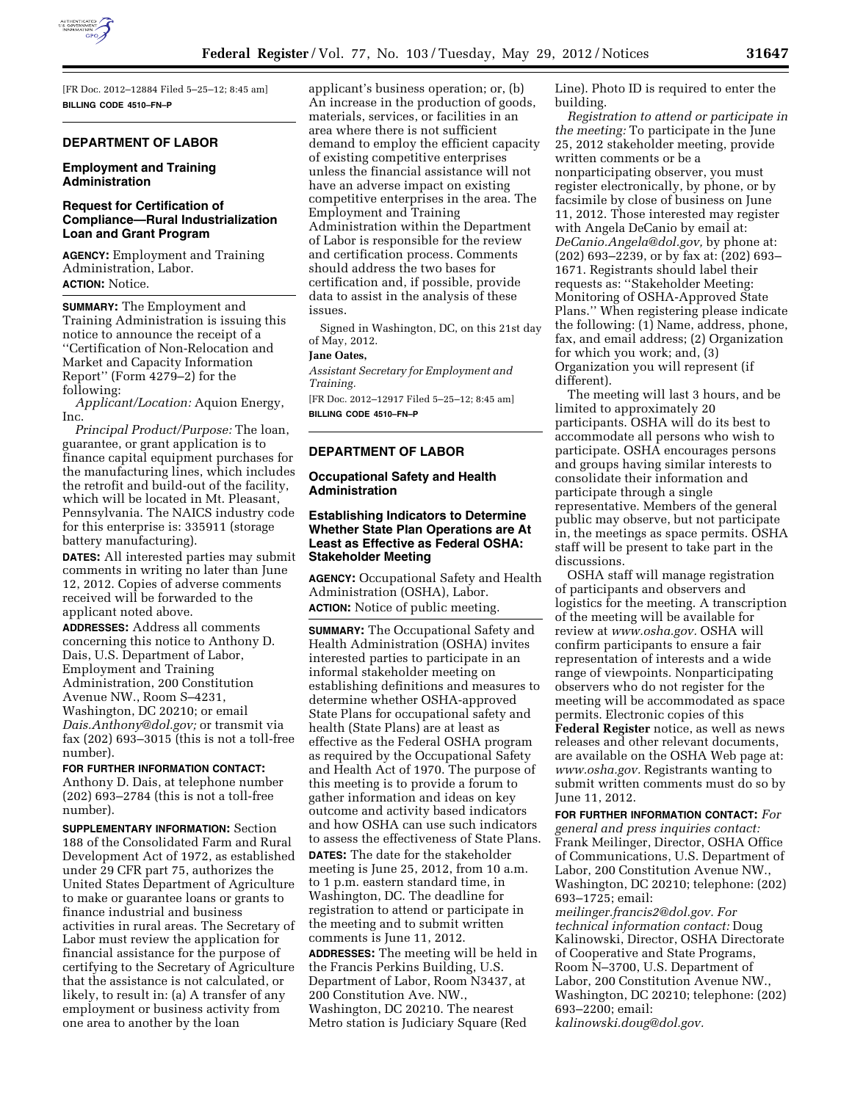

[FR Doc. 2012–12884 Filed 5–25–12; 8:45 am] **BILLING CODE 4510–FN–P** 

### **DEPARTMENT OF LABOR**

# **Employment and Training Administration**

# **Request for Certification of Compliance—Rural Industrialization Loan and Grant Program**

**AGENCY:** Employment and Training Administration, Labor. **ACTION:** Notice.

**SUMMARY:** The Employment and Training Administration is issuing this notice to announce the receipt of a ''Certification of Non-Relocation and Market and Capacity Information Report'' (Form 4279–2) for the following:

*Applicant/Location:* Aquion Energy, Inc.

*Principal Product/Purpose:* The loan, guarantee, or grant application is to finance capital equipment purchases for the manufacturing lines, which includes the retrofit and build-out of the facility, which will be located in Mt. Pleasant, Pennsylvania. The NAICS industry code for this enterprise is: 335911 (storage battery manufacturing).

**DATES:** All interested parties may submit comments in writing no later than June 12, 2012. Copies of adverse comments received will be forwarded to the applicant noted above.

**ADDRESSES:** Address all comments concerning this notice to Anthony D. Dais, U.S. Department of Labor, Employment and Training Administration, 200 Constitution Avenue NW., Room S–4231, Washington, DC 20210; or email *[Dais.Anthony@dol.gov;](mailto:Dais.Anthony@dol.gov)* or transmit via fax (202) 693–3015 (this is not a toll-free number).

**FOR FURTHER INFORMATION CONTACT:**  Anthony D. Dais, at telephone number (202) 693–2784 (this is not a toll-free number).

**SUPPLEMENTARY INFORMATION:** Section 188 of the Consolidated Farm and Rural Development Act of 1972, as established under 29 CFR part 75, authorizes the United States Department of Agriculture to make or guarantee loans or grants to finance industrial and business activities in rural areas. The Secretary of Labor must review the application for financial assistance for the purpose of certifying to the Secretary of Agriculture that the assistance is not calculated, or likely, to result in: (a) A transfer of any employment or business activity from one area to another by the loan

applicant's business operation; or, (b) An increase in the production of goods, materials, services, or facilities in an area where there is not sufficient demand to employ the efficient capacity of existing competitive enterprises unless the financial assistance will not have an adverse impact on existing competitive enterprises in the area. The Employment and Training Administration within the Department of Labor is responsible for the review and certification process. Comments should address the two bases for certification and, if possible, provide data to assist in the analysis of these issues.

Signed in Washington, DC, on this 21st day of May, 2012.

# **Jane Oates,**

*Assistant Secretary for Employment and Training.* 

[FR Doc. 2012–12917 Filed 5–25–12; 8:45 am] **BILLING CODE 4510–FN–P** 

# **DEPARTMENT OF LABOR**

# **Occupational Safety and Health Administration**

## **Establishing Indicators to Determine Whether State Plan Operations are At Least as Effective as Federal OSHA: Stakeholder Meeting**

**AGENCY:** Occupational Safety and Health Administration (OSHA), Labor. **ACTION:** Notice of public meeting.

**SUMMARY:** The Occupational Safety and Health Administration (OSHA) invites interested parties to participate in an informal stakeholder meeting on establishing definitions and measures to determine whether OSHA-approved State Plans for occupational safety and health (State Plans) are at least as effective as the Federal OSHA program as required by the Occupational Safety and Health Act of 1970. The purpose of this meeting is to provide a forum to gather information and ideas on key outcome and activity based indicators and how OSHA can use such indicators to assess the effectiveness of State Plans. **DATES:** The date for the stakeholder meeting is June 25, 2012, from 10 a.m. to 1 p.m. eastern standard time, in Washington, DC. The deadline for registration to attend or participate in the meeting and to submit written comments is June 11, 2012.

**ADDRESSES:** The meeting will be held in the Francis Perkins Building, U.S. Department of Labor, Room N3437, at 200 Constitution Ave. NW., Washington, DC 20210. The nearest Metro station is Judiciary Square (Red

Line). Photo ID is required to enter the building.

*Registration to attend or participate in the meeting:* To participate in the June 25, 2012 stakeholder meeting, provide written comments or be a nonparticipating observer, you must register electronically, by phone, or by facsimile by close of business on June 11, 2012. Those interested may register with Angela DeCanio by email at: *[DeCanio.Angela@dol.gov,](mailto:DeCanio.Angela@dol.gov)* by phone at: (202) 693–2239, or by fax at: (202) 693– 1671. Registrants should label their requests as: ''Stakeholder Meeting: Monitoring of OSHA-Approved State Plans.'' When registering please indicate the following: (1) Name, address, phone, fax, and email address; (2) Organization for which you work; and, (3) Organization you will represent (if different).

The meeting will last 3 hours, and be limited to approximately 20 participants. OSHA will do its best to accommodate all persons who wish to participate. OSHA encourages persons and groups having similar interests to consolidate their information and participate through a single representative. Members of the general public may observe, but not participate in, the meetings as space permits. OSHA staff will be present to take part in the discussions.

OSHA staff will manage registration of participants and observers and logistics for the meeting. A transcription of the meeting will be available for review at *[www.osha.gov.](http://www.osha.gov)* OSHA will confirm participants to ensure a fair representation of interests and a wide range of viewpoints. Nonparticipating observers who do not register for the meeting will be accommodated as space permits. Electronic copies of this **Federal Register** notice, as well as news releases and other relevant documents, are available on the OSHA Web page at: *[www.osha.gov.](http://www.osha.gov)* Registrants wanting to submit written comments must do so by June 11, 2012.

**FOR FURTHER INFORMATION CONTACT:** *For general and press inquiries contact:*  Frank Meilinger, Director, OSHA Office of Communications, U.S. Department of Labor, 200 Constitution Avenue NW., Washington, DC 20210; telephone: (202) 693–1725; email:

*[meilinger.francis2@dol.gov.](mailto:meilinger.francis2@dol.gov) For technical information contact:* Doug Kalinowski, Director, OSHA Directorate of Cooperative and State Programs, Room N–3700, U.S. Department of Labor, 200 Constitution Avenue NW., Washington, DC 20210; telephone: (202) 693–2200; email: *[kalinowski.doug@dol.gov.](mailto:kalinowski.doug@dol.gov)*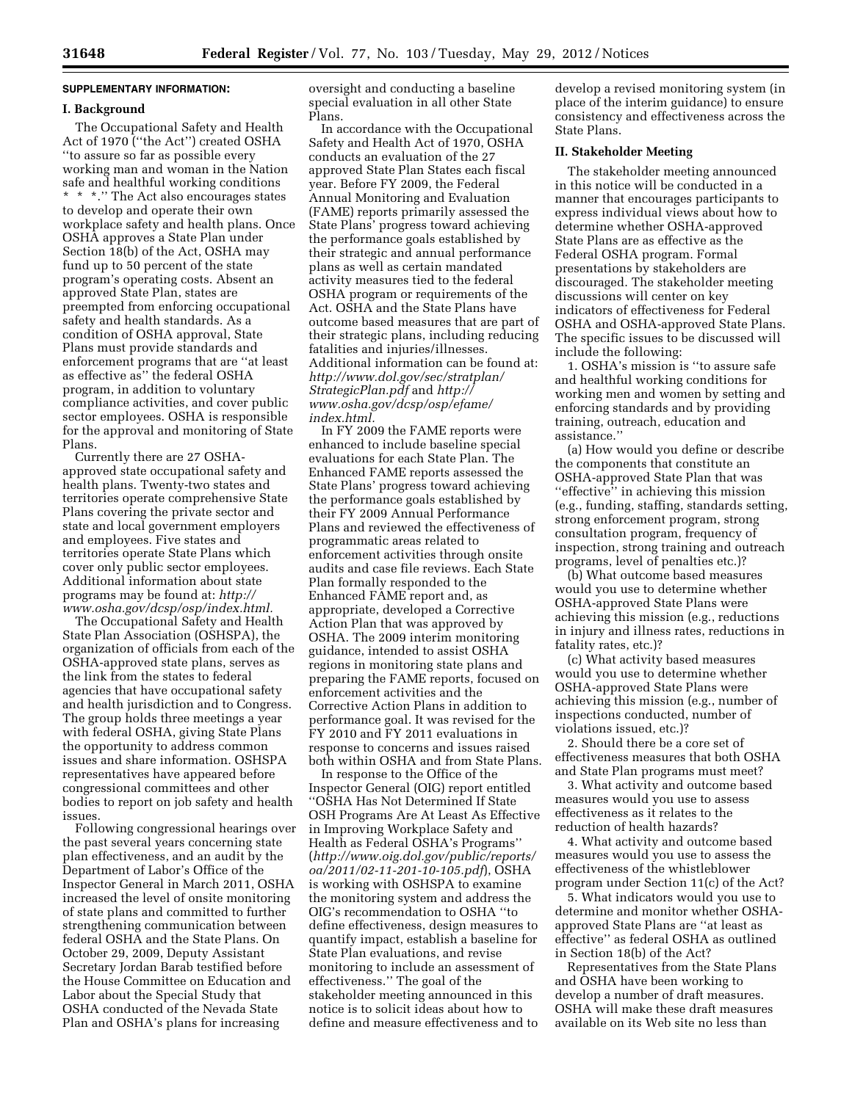# **SUPPLEMENTARY INFORMATION:**

#### **I. Background**

The Occupational Safety and Health Act of 1970 (''the Act'') created OSHA ''to assure so far as possible every working man and woman in the Nation safe and healthful working conditions \* \* \*.'' The Act also encourages states to develop and operate their own workplace safety and health plans. Once OSHA approves a State Plan under Section 18(b) of the Act, OSHA may fund up to 50 percent of the state program's operating costs. Absent an approved State Plan, states are preempted from enforcing occupational safety and health standards. As a condition of OSHA approval, State Plans must provide standards and enforcement programs that are ''at least as effective as'' the federal OSHA program, in addition to voluntary compliance activities, and cover public sector employees. OSHA is responsible for the approval and monitoring of State Plans.

Currently there are 27 OSHAapproved state occupational safety and health plans. Twenty-two states and territories operate comprehensive State Plans covering the private sector and state and local government employers and employees. Five states and territories operate State Plans which cover only public sector employees. Additional information about state programs may be found at: *[http://](http://www.osha.gov/dcsp/osp/index.html)  [www.osha.gov/dcsp/osp/index.html.](http://www.osha.gov/dcsp/osp/index.html)* 

The Occupational Safety and Health State Plan Association (OSHSPA), the organization of officials from each of the OSHA-approved state plans, serves as the link from the states to federal agencies that have occupational safety and health jurisdiction and to Congress. The group holds three meetings a year with federal OSHA, giving State Plans the opportunity to address common issues and share information. OSHSPA representatives have appeared before congressional committees and other bodies to report on job safety and health issues.

Following congressional hearings over the past several years concerning state plan effectiveness, and an audit by the Department of Labor's Office of the Inspector General in March 2011, OSHA increased the level of onsite monitoring of state plans and committed to further strengthening communication between federal OSHA and the State Plans. On October 29, 2009, Deputy Assistant Secretary Jordan Barab testified before the House Committee on Education and Labor about the Special Study that OSHA conducted of the Nevada State Plan and OSHA's plans for increasing

oversight and conducting a baseline special evaluation in all other State Plans.

In accordance with the Occupational Safety and Health Act of 1970, OSHA conducts an evaluation of the 27 approved State Plan States each fiscal year. Before FY 2009, the Federal Annual Monitoring and Evaluation (FAME) reports primarily assessed the State Plans' progress toward achieving the performance goals established by their strategic and annual performance plans as well as certain mandated activity measures tied to the federal OSHA program or requirements of the Act. OSHA and the State Plans have outcome based measures that are part of their strategic plans, including reducing fatalities and injuries/illnesses. Additional information can be found at: *[http://www.dol.gov/sec/stratplan/](http://www.dol.gov/sec/stratplan/StrategicPlan.pdf) [StrategicPlan.pdf](http://www.dol.gov/sec/stratplan/StrategicPlan.pdf)* and *[http://](http://www.osha.gov/dcsp/osp/efame/index.html)  [www.osha.gov/dcsp/osp/efame/](http://www.osha.gov/dcsp/osp/efame/index.html) [index.html.](http://www.osha.gov/dcsp/osp/efame/index.html)* 

In FY 2009 the FAME reports were enhanced to include baseline special evaluations for each State Plan. The Enhanced FAME reports assessed the State Plans' progress toward achieving the performance goals established by their FY 2009 Annual Performance Plans and reviewed the effectiveness of programmatic areas related to enforcement activities through onsite audits and case file reviews. Each State Plan formally responded to the Enhanced FAME report and, as appropriate, developed a Corrective Action Plan that was approved by OSHA. The 2009 interim monitoring guidance, intended to assist OSHA regions in monitoring state plans and preparing the FAME reports, focused on enforcement activities and the Corrective Action Plans in addition to performance goal. It was revised for the FY 2010 and FY 2011 evaluations in response to concerns and issues raised both within OSHA and from State Plans.

In response to the Office of the Inspector General (OIG) report entitled ''OSHA Has Not Determined If State OSH Programs Are At Least As Effective in Improving Workplace Safety and Health as Federal OSHA's Programs'' (*[http://www.oig.dol.gov/public/reports/](http://www.oig.dol.gov/public/reports/oa/2011/02-11-201-10-105.pdf) [oa/2011/02-11-201-10-105.pdf](http://www.oig.dol.gov/public/reports/oa/2011/02-11-201-10-105.pdf)*), OSHA is working with OSHSPA to examine the monitoring system and address the OIG's recommendation to OSHA ''to define effectiveness, design measures to quantify impact, establish a baseline for State Plan evaluations, and revise monitoring to include an assessment of effectiveness.'' The goal of the stakeholder meeting announced in this notice is to solicit ideas about how to define and measure effectiveness and to

develop a revised monitoring system (in place of the interim guidance) to ensure consistency and effectiveness across the State Plans.

#### **II. Stakeholder Meeting**

The stakeholder meeting announced in this notice will be conducted in a manner that encourages participants to express individual views about how to determine whether OSHA-approved State Plans are as effective as the Federal OSHA program. Formal presentations by stakeholders are discouraged. The stakeholder meeting discussions will center on key indicators of effectiveness for Federal OSHA and OSHA-approved State Plans. The specific issues to be discussed will include the following:

1. OSHA's mission is ''to assure safe and healthful working conditions for working men and women by setting and enforcing standards and by providing training, outreach, education and assistance.''

(a) How would you define or describe the components that constitute an OSHA-approved State Plan that was ''effective'' in achieving this mission (e.g., funding, staffing, standards setting, strong enforcement program, strong consultation program, frequency of inspection, strong training and outreach programs, level of penalties etc.)?

(b) What outcome based measures would you use to determine whether OSHA-approved State Plans were achieving this mission (e.g., reductions in injury and illness rates, reductions in fatality rates, etc.)?

(c) What activity based measures would you use to determine whether OSHA-approved State Plans were achieving this mission (e.g., number of inspections conducted, number of violations issued, etc.)?

2. Should there be a core set of effectiveness measures that both OSHA and State Plan programs must meet?

3. What activity and outcome based measures would you use to assess effectiveness as it relates to the reduction of health hazards?

4. What activity and outcome based measures would you use to assess the effectiveness of the whistleblower program under Section 11(c) of the Act?

5. What indicators would you use to determine and monitor whether OSHAapproved State Plans are ''at least as effective'' as federal OSHA as outlined in Section 18(b) of the Act?

Representatives from the State Plans and OSHA have been working to develop a number of draft measures. OSHA will make these draft measures available on its Web site no less than